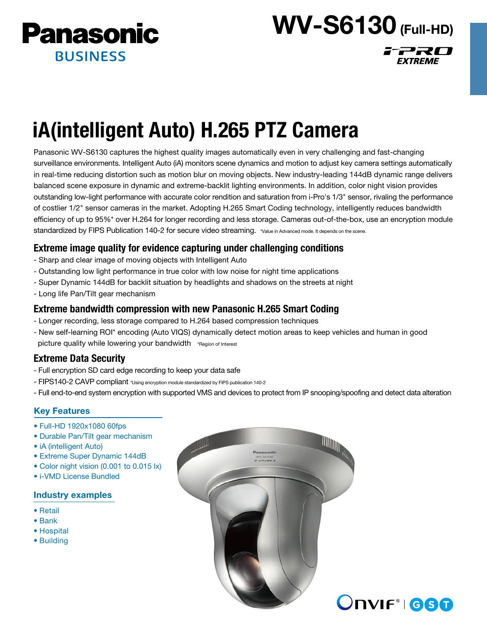

# WV-S6130 (Full-HD)

FPRO

EXTREME

# iA(intelligent Auto) H.265 PTZ Camera

Panasonic WV-S6130 captures the highest quality images automatically even in very challenging and fast-changing surveillance environments. Intelligent Auto (iA) monitors scene dynamics and motion to adjust key camera settings automatically in real-time reducing distortion such as motion blur on moving objects. New industry-leading 144dB dynamic range delivers balanced scene exposure in dynamic and extreme-backlit lighting environments. In addition, color night vision provides outstanding low-light performance with accurate color rendition and saturation from i-Pro's 1/3" sensor, rivaling the performance of costlier 1/2" sensor cameras in the market. Adopting H.265 Smart Coding technology, intelligently reduces bandwidth efficiency of up to 95%\* over H.264 for longer recording and less storage. Cameras out-of-the-box, use an encryption module standardized by FIPS Publication 140-2 for secure video streaming. \*Value in Advanced mode. It depends on the scene.

# Extreme image quality for evidence capturing under challenging conditions

- Sharp and clear image of moving objects with Intelligent Auto
- Outstanding low light performance in true color with low noise for night time applications
- Super Dynamic 144dB for backlit situation by headlights and shadows on the streets at night
- Long life Pan/Tilt gear mechanism

# Extreme bandwidth compression with new Panasonic H.265 Smart Coding

- Longer recording, less storage compared to H.264 based compression techniques
- New self-learning ROI\* encoding (Auto VIQS) dynamically detect motion areas to keep vehicles and human in good picture quality while lowering your bandwidth \*Region of Interest

# Extreme Data Security

- Full encryption SD card edge recording to keep your data safe
- FIPS140-2 CAVP compliant \*Using encryption module standardized by FIPS publication 140-2
- Full end-to-end system encryption with supported VMS and devices to protect from IP snooping/spoofing and detect data alteration

## Key Features

- Full-HD 1920x1080 60fps
- Durable Pan/Tilt gear mechanism
- iA (intelligent Auto)
- Extreme Super Dynamic 144dB
- Color night vision (0.001 to 0.015 lx)
- i-VMD License Bundled

## Industry examples

- Retail
- Bank
- Hospital
- Building